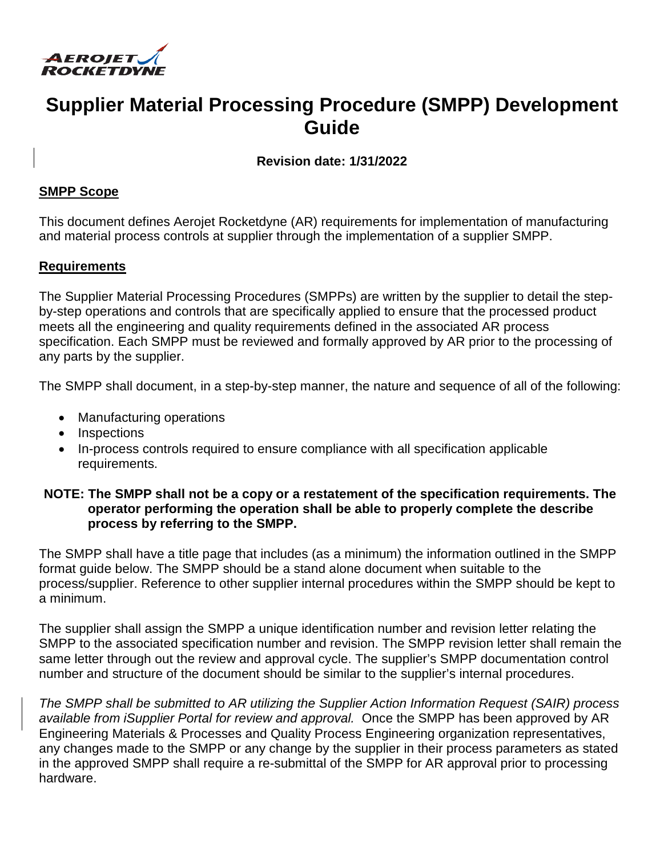

# **Supplier Material Processing Procedure (SMPP) Development Guide**

**Revision date: 1/31/2022** 

#### **SMPP Scope**

This document defines Aerojet Rocketdyne (AR) requirements for implementation of manufacturing and material process controls at supplier through the implementation of a supplier SMPP.

#### **Requirements**

The Supplier Material Processing Procedures (SMPPs) are written by the supplier to detail the stepby-step operations and controls that are specifically applied to ensure that the processed product meets all the engineering and quality requirements defined in the associated AR process specification. Each SMPP must be reviewed and formally approved by AR prior to the processing of any parts by the supplier.

The SMPP shall document, in a step-by-step manner, the nature and sequence of all of the following:

- Manufacturing operations
- Inspections
- In-process controls required to ensure compliance with all specification applicable requirements.

#### **NOTE: The SMPP shall not be a copy or a restatement of the specification requirements. The operator performing the operation shall be able to properly complete the describe process by referring to the SMPP.**

The SMPP shall have a title page that includes (as a minimum) the information outlined in the SMPP format guide below. The SMPP should be a stand alone document when suitable to the process/supplier. Reference to other supplier internal procedures within the SMPP should be kept to a minimum.

The supplier shall assign the SMPP a unique identification number and revision letter relating the SMPP to the associated specification number and revision. The SMPP revision letter shall remain the same letter through out the review and approval cycle. The supplier's SMPP documentation control number and structure of the document should be similar to the supplier's internal procedures.

*The SMPP shall be submitted to AR utilizing the Supplier Action Information Request (SAIR) process available from iSupplier Portal for review and approval.* Once the SMPP has been approved by AR Engineering Materials & Processes and Quality Process Engineering organization representatives, any changes made to the SMPP or any change by the supplier in their process parameters as stated in the approved SMPP shall require a re-submittal of the SMPP for AR approval prior to processing hardware.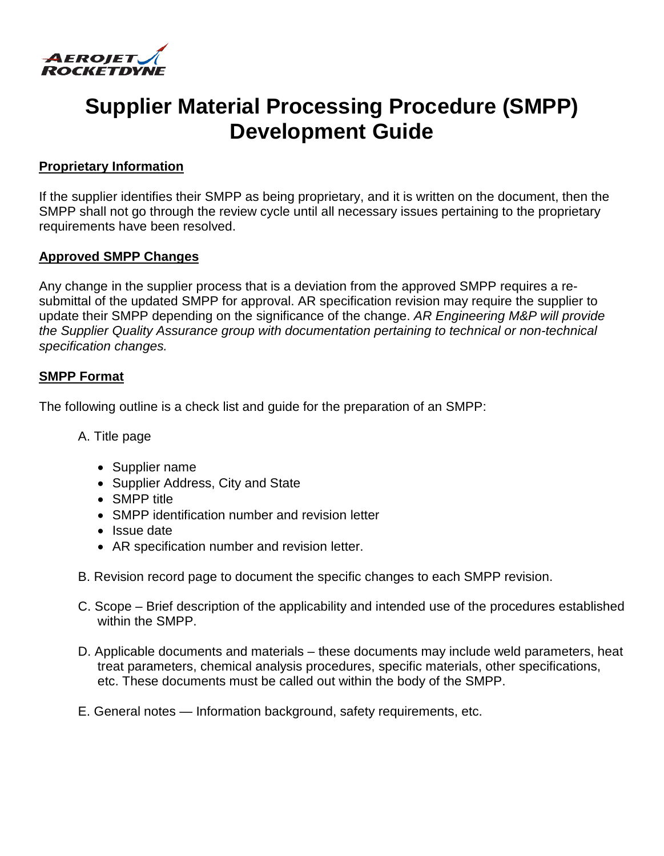

# **Supplier Material Processing Procedure (SMPP) Development Guide**

# **Proprietary Information**

If the supplier identifies their SMPP as being proprietary, and it is written on the document, then the SMPP shall not go through the review cycle until all necessary issues pertaining to the proprietary requirements have been resolved.

# **Approved SMPP Changes**

Any change in the supplier process that is a deviation from the approved SMPP requires a resubmittal of the updated SMPP for approval. AR specification revision may require the supplier to update their SMPP depending on the significance of the change. *AR Engineering M&P will provide the Supplier Quality Assurance group with documentation pertaining to technical or non-technical specification changes.* 

# **SMPP Format**

The following outline is a check list and guide for the preparation of an SMPP:

- A. Title page
	- Supplier name
	- Supplier Address, City and State
	- SMPP title
	- SMPP identification number and revision letter
	- Issue date
	- AR specification number and revision letter.
- B. Revision record page to document the specific changes to each SMPP revision.
- C. Scope Brief description of the applicability and intended use of the procedures established within the SMPP.
- D. Applicable documents and materials these documents may include weld parameters, heat treat parameters, chemical analysis procedures, specific materials, other specifications, etc. These documents must be called out within the body of the SMPP.
- E. General notes Information background, safety requirements, etc.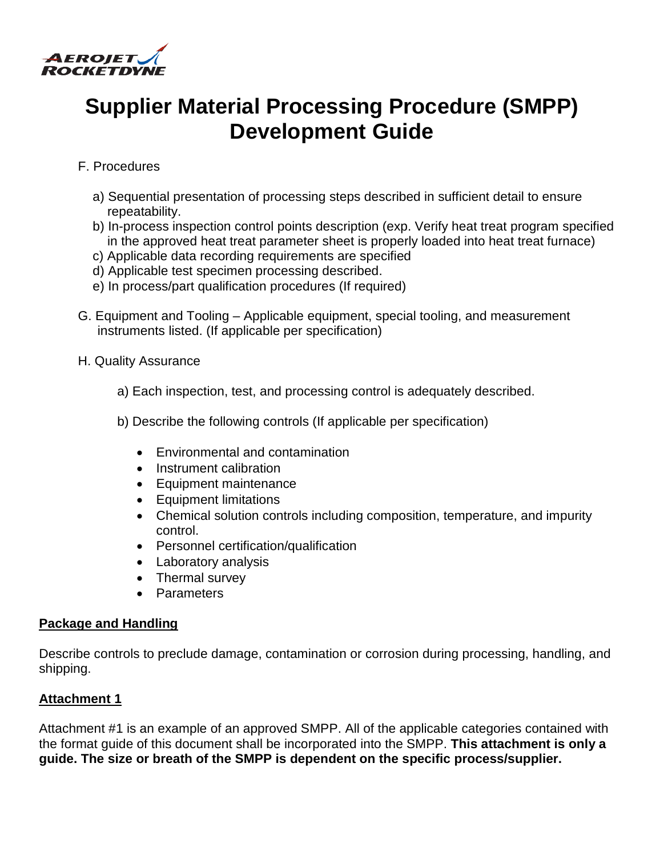

# **Supplier Material Processing Procedure (SMPP) Development Guide**

# F. Procedures

- a) Sequential presentation of processing steps described in sufficient detail to ensure repeatability.
- b) In-process inspection control points description (exp. Verify heat treat program specified in the approved heat treat parameter sheet is properly loaded into heat treat furnace)
- c) Applicable data recording requirements are specified
- d) Applicable test specimen processing described.
- e) In process/part qualification procedures (If required)
- G. Equipment and Tooling Applicable equipment, special tooling, and measurement instruments listed. (If applicable per specification)
- H. Quality Assurance
	- a) Each inspection, test, and processing control is adequately described.
	- b) Describe the following controls (If applicable per specification)
		- Environmental and contamination
		- Instrument calibration
		- Equipment maintenance
		- Equipment limitations
		- Chemical solution controls including composition, temperature, and impurity control.
		- Personnel certification/qualification
		- Laboratory analysis
		- Thermal survey
		- Parameters

# **Package and Handling**

Describe controls to preclude damage, contamination or corrosion during processing, handling, and shipping.

# **Attachment 1**

Attachment #1 is an example of an approved SMPP. All of the applicable categories contained with the format guide of this document shall be incorporated into the SMPP. **This attachment is only a guide. The size or breath of the SMPP is dependent on the specific process/supplier.**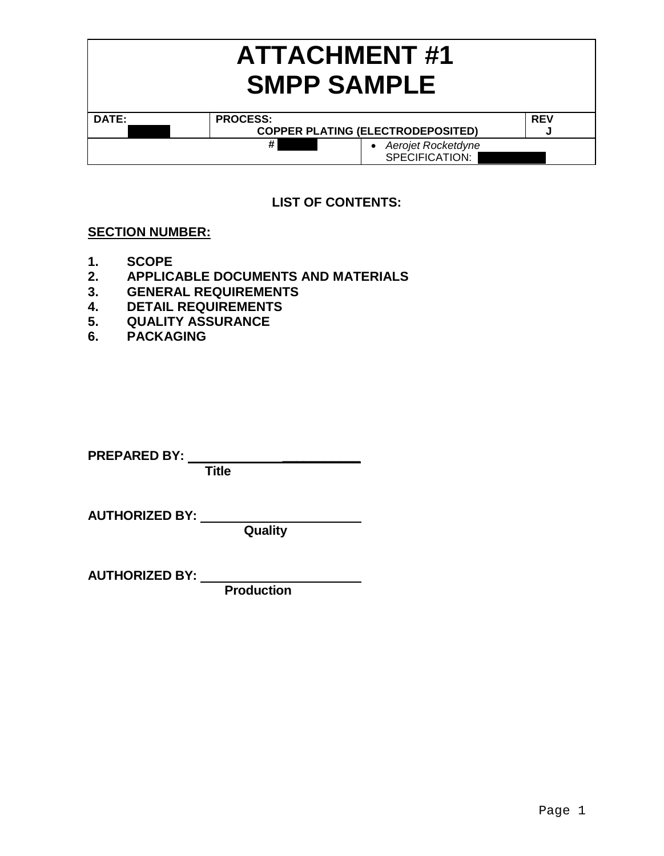|       | <b>ATTACHMENT#1</b><br><b>SMPP SAMPLE</b> |            |  |  |  |
|-------|-------------------------------------------|------------|--|--|--|
| DATE: | <b>PROCESS:</b>                           | <b>REV</b> |  |  |  |
|       | <b>COPPER PLATING (ELECTRODEPOSITED)</b>  |            |  |  |  |
|       | #<br>Aerojet Rocketdyne<br>SPECIFICATION: |            |  |  |  |

# **LIST OF CONTENTS:**

# **SECTION NUMBER:**

- **1. SCOPE**
- **2. APPLICABLE DOCUMENTS AND MATERIALS**
- **3. GENERAL REQUIREMENTS**
- **4. DETAIL REQUIREMENTS**
- **5. QUALITY ASSURANCE**
- **6. PACKAGING**

**PREPARED BY:** *\_\_\_\_\_\_\_\_\_\_\_*

**Title** 

**AUTHORIZED BY:** 

**Quality** 

**AUTHORIZED BY:** 

**Production**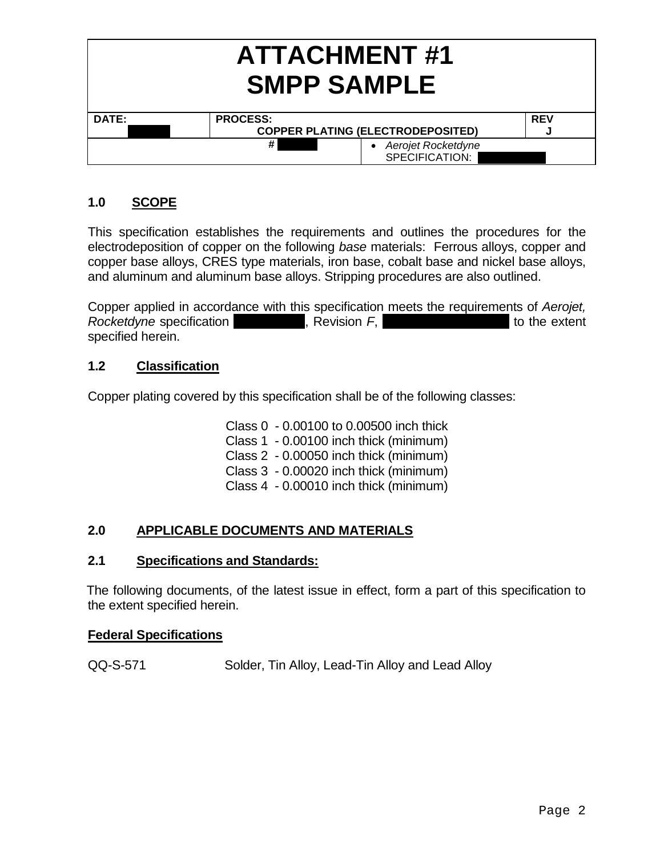|       | <b>ATTACHMENT#1</b><br><b>SMPP SAMPLE</b>   |            |  |
|-------|---------------------------------------------|------------|--|
| DATE: | <b>PROCESS:</b>                             | <b>REV</b> |  |
|       | <b>COPPER PLATING (ELECTRODEPOSITED)</b>    |            |  |
|       | #<br>• Aerojet Rocketdyne<br>SPECIFICATION: |            |  |

# **1.0 SCOPE**

This specification establishes the requirements and outlines the procedures for the electrodeposition of copper on the following *base* materials: Ferrous alloys, copper and copper base alloys, CRES type materials, iron base, cobalt base and nickel base alloys, and aluminum and aluminum base alloys. Stripping procedures are also outlined.

Copper applied in accordance with this specification meets the requirements of *Aerojet, Rocketdyne* specification **RANCIST REVISION FRAUGE 2006**, Revision *F*, **EXECUTE 2006**, to the extent specified herein.

# **1.2 Classification**

Copper plating covered by this specification shall be of the following classes:

Class 0 - 0.00100 to 0.00500 inch thick Class 1 - 0.00100 inch thick (minimum) Class 2 - 0.00050 inch thick (minimum) Class 3 - 0.00020 inch thick (minimum) Class 4 - 0.00010 inch thick (minimum)

# **2.0 APPLICABLE DOCUMENTS AND MATERIALS**

# **2.1 Specifications and Standards:**

 The following documents, of the latest issue in effect, form a part of this specification to the extent specified herein.

# **Federal Specifications**

QQ-S-571 Solder, Tin Alloy, Lead-Tin Alloy and Lead Alloy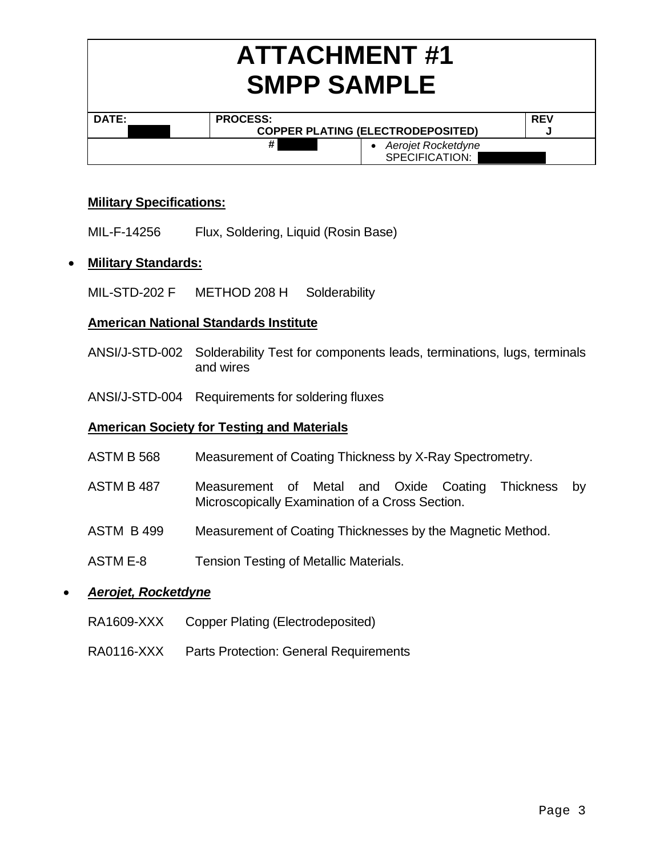| <b>ATTACHMENT#1</b><br><b>SMPP SAMPLE</b> |                                             |            |  |
|-------------------------------------------|---------------------------------------------|------------|--|
| DATE:                                     | <b>PROCESS:</b>                             | <b>REV</b> |  |
|                                           | <b>COPPER PLATING (ELECTRODEPOSITED)</b>    | w          |  |
|                                           | #<br>• Aerojet Rocketdyne<br>SPECIFICATION: |            |  |

# **Military Specifications:**

MIL-F-14256 Flux, Soldering, Liquid (Rosin Base)

# **Military Standards:**

MIL-STD-202 F METHOD 208 H Solderability

# **American National Standards Institute**

- ANSI/J-STD-002 Solderability Test for components leads, terminations, lugs, terminals and wires
- ANSI/J-STD-004 Requirements for soldering fluxes

# **American Society for Testing and Materials**

- ASTM B 568 Measurement of Coating Thickness by X-Ray Spectrometry.
- ASTM B 487 Measurement of Metal and Oxide Coating Thickness by Microscopically Examination of a Cross Section.
- ASTM B 499 Measurement of Coating Thicknesses by the Magnetic Method.
- ASTM E-8 Tension Testing of Metallic Materials.

# *Aerojet, Rocketdyne*

- RA1609-XXX Copper Plating (Electrodeposited)
- RA0116-XXX Parts Protection: General Requirements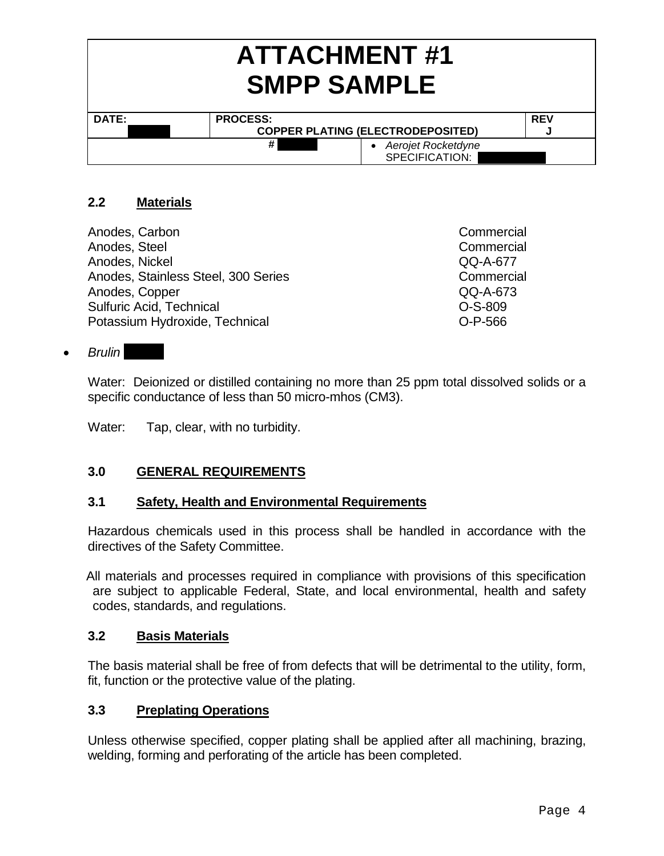| <b>ATTACHMENT#1</b><br><b>SMPP SAMPLE</b> |                                          |                                      |  |  |  |
|-------------------------------------------|------------------------------------------|--------------------------------------|--|--|--|
| DATE:                                     | <b>PROCESS:</b><br><b>REV</b>            |                                      |  |  |  |
|                                           | <b>COPPER PLATING (ELECTRODEPOSITED)</b> |                                      |  |  |  |
|                                           | #                                        | Aerojet Rocketdyne<br>SPECIFICATION: |  |  |  |

# **2.2 Materials**

Anodes, Carbon Commercial Commercial Commercial Commercial Commercial Commercial Anodes, Steel **Commercial** Anodes, Nickel QQ-A-677 Anodes, Stainless Steel, 300 Series Commercial Anodes, Copper QQ-A-673 Sulfuric Acid, Technical **O-S-809** Potassium Hydroxide, Technical CD-P-566

#### **•** Brulin

Water: Deionized or distilled containing no more than 25 ppm total dissolved solids or a specific conductance of less than 50 micro-mhos (CM3).

Water: Tap, clear, with no turbidity.

# **3.0 GENERAL REQUIREMENTS**

# **3.1 Safety, Health and Environmental Requirements**

Hazardous chemicals used in this process shall be handled in accordance with the directives of the Safety Committee.

 All materials and processes required in compliance with provisions of this specification are subject to applicable Federal, State, and local environmental, health and safety codes, standards, and regulations.

#### **3.2 Basis Materials**

The basis material shall be free of from defects that will be detrimental to the utility, form, fit, function or the protective value of the plating.

# **3.3 Preplating Operations**

Unless otherwise specified, copper plating shall be applied after all machining, brazing, welding, forming and perforating of the article has been completed.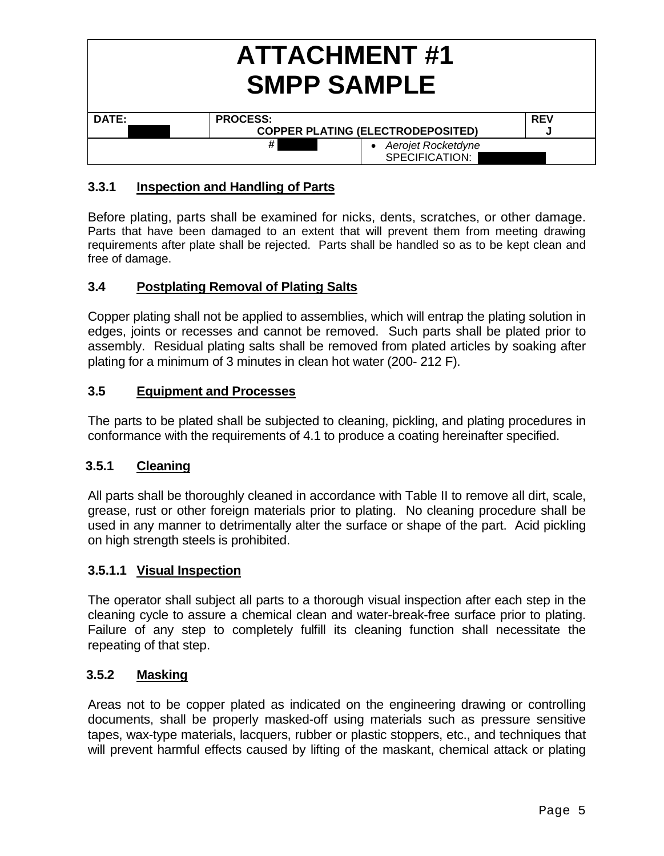|       | <b>ATTACHMENT#1</b><br><b>SMPP SAMPLE</b>   |            |  |  |  |  |
|-------|---------------------------------------------|------------|--|--|--|--|
| DATE: | <b>PROCESS:</b>                             | <b>REV</b> |  |  |  |  |
|       | <b>COPPER PLATING (ELECTRODEPOSITED)</b>    |            |  |  |  |  |
|       | #<br>• Aerojet Rocketdyne<br>SPECIFICATION: |            |  |  |  |  |

# **3.3.1 Inspection and Handling of Parts**

Before plating, parts shall be examined for nicks, dents, scratches, or other damage. Parts that have been damaged to an extent that will prevent them from meeting drawing requirements after plate shall be rejected. Parts shall be handled so as to be kept clean and free of damage.

# **3.4 Postplating Removal of Plating Salts**

Copper plating shall not be applied to assemblies, which will entrap the plating solution in edges, joints or recesses and cannot be removed. Such parts shall be plated prior to assembly. Residual plating salts shall be removed from plated articles by soaking after plating for a minimum of 3 minutes in clean hot water (200- 212 F).

# **3.5 Equipment and Processes**

The parts to be plated shall be subjected to cleaning, pickling, and plating procedures in conformance with the requirements of 4.1 to produce a coating hereinafter specified.

# **3.5.1 Cleaning**

All parts shall be thoroughly cleaned in accordance with Table II to remove all dirt, scale, grease, rust or other foreign materials prior to plating. No cleaning procedure shall be used in any manner to detrimentally alter the surface or shape of the part. Acid pickling on high strength steels is prohibited.

# **3.5.1.1 Visual Inspection**

The operator shall subject all parts to a thorough visual inspection after each step in the cleaning cycle to assure a chemical clean and water-break-free surface prior to plating. Failure of any step to completely fulfill its cleaning function shall necessitate the repeating of that step.

# **3.5.2 Masking**

Areas not to be copper plated as indicated on the engineering drawing or controlling documents, shall be properly masked-off using materials such as pressure sensitive tapes, wax-type materials, lacquers, rubber or plastic stoppers, etc., and techniques that will prevent harmful effects caused by lifting of the maskant, chemical attack or plating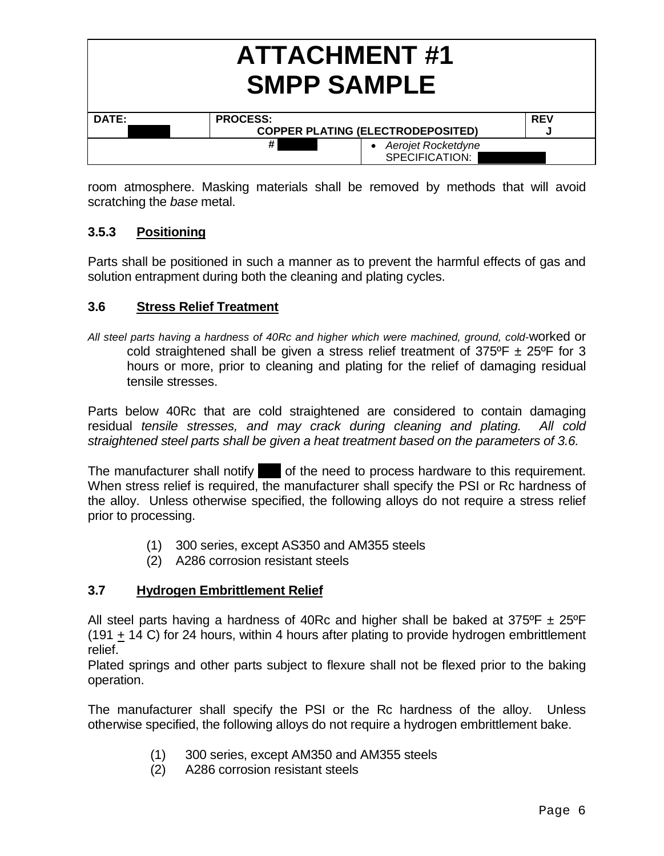|       | <b>ATTACHMENT#1</b><br><b>SMPP SAMPLE</b>   |            |  |  |
|-------|---------------------------------------------|------------|--|--|
| DATE: | <b>PROCESS:</b>                             | <b>REV</b> |  |  |
|       | <b>COPPER PLATING (ELECTRODEPOSITED)</b>    | a.         |  |  |
|       | #<br>• Aerojet Rocketdyne<br>SPECIFICATION: |            |  |  |

room atmosphere. Masking materials shall be removed by methods that will avoid scratching the *base* metal.

# **3.5.3 Positioning**

Parts shall be positioned in such a manner as to prevent the harmful effects of gas and solution entrapment during both the cleaning and plating cycles.

# **3.6 Stress Relief Treatment**

*All steel parts having a hardness of 40Rc and higher which were machined, ground, cold-*worked or cold straightened shall be given a stress relief treatment of  $375^{\circ}F \pm 25^{\circ}F$  for 3 hours or more, prior to cleaning and plating for the relief of damaging residual tensile stresses.

Parts below 40Rc that are cold straightened are considered to contain damaging residual *tensile stresses, and may crack during cleaning and plating. All cold straightened steel parts shall be given a heat treatment based on the parameters of 3.6.* 

The manufacturer shall notify  $\blacksquare$  of the need to process hardware to this requirement. When stress relief is required, the manufacturer shall specify the PSI or Rc hardness of the alloy. Unless otherwise specified, the following alloys do not require a stress relief prior to processing.

- (1) 300 series, except AS350 and AM355 steels
- (2) A286 corrosion resistant steels

# **3.7 Hydrogen Embrittlement Relief**

All steel parts having a hardness of 40Rc and higher shall be baked at  $375^{\circ}F \pm 25^{\circ}F$ (191 + 14 C) for 24 hours, within 4 hours after plating to provide hydrogen embrittlement relief.

Plated springs and other parts subject to flexure shall not be flexed prior to the baking operation.

The manufacturer shall specify the PSI or the Rc hardness of the alloy. Unless otherwise specified, the following alloys do not require a hydrogen embrittlement bake.

- (1) 300 series, except AM350 and AM355 steels
- (2) A286 corrosion resistant steels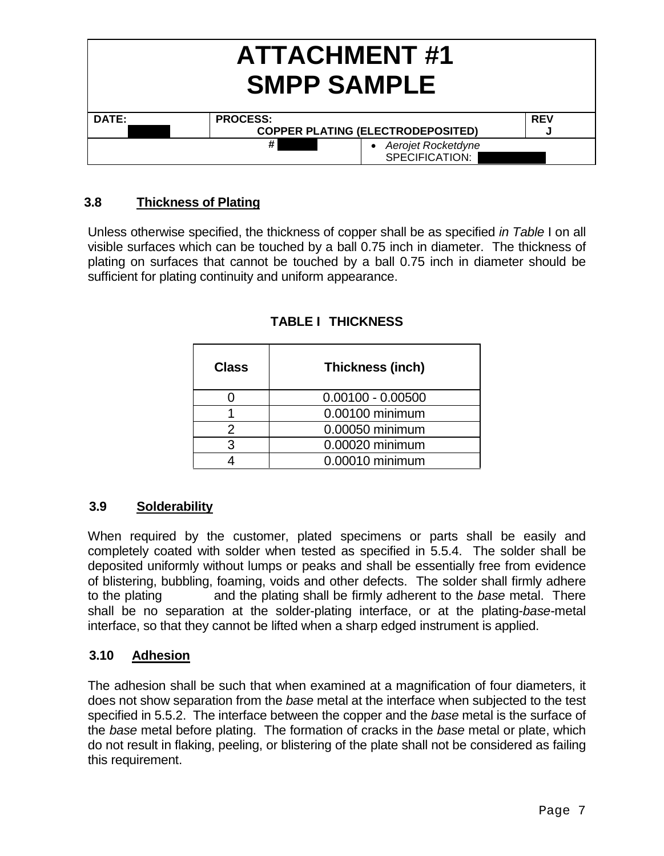|       | <b>ATTACHMENT#1</b><br><b>SMPP SAMPLE</b> |            |  |  |  |
|-------|-------------------------------------------|------------|--|--|--|
| DATE: | <b>PROCESS:</b>                           | <b>REV</b> |  |  |  |
|       | <b>COPPER PLATING (ELECTRODEPOSITED)</b>  |            |  |  |  |
|       | #<br>Aerojet Rocketdyne<br>SPECIFICATION: |            |  |  |  |

# **3.8 Thickness of Plating**

Unless otherwise specified, the thickness of copper shall be as specified *in Table* I on all visible surfaces which can be touched by a ball 0.75 inch in diameter. The thickness of plating on surfaces that cannot be touched by a ball 0.75 inch in diameter should be sufficient for plating continuity and uniform appearance.

| <b>Class</b> | Thickness (inch)    |
|--------------|---------------------|
|              | $0.00100 - 0.00500$ |
|              | 0.00100 minimum     |
|              | 0.00050 minimum     |
| ว            | 0.00020 minimum     |
|              | 0.00010 minimum     |

# **TABLE I THICKNESS**

# **3.9 Solderability**

When required by the customer, plated specimens or parts shall be easily and completely coated with solder when tested as specified in 5.5.4. The solder shall be deposited uniformly without lumps or peaks and shall be essentially free from evidence of blistering, bubbling, foaming, voids and other defects. The solder shall firmly adhere to the plating and the plating shall be firmly adherent to the *base* metal. There shall be no separation at the solder-plating interface, or at the plating-*base-*metal interface, so that they cannot be lifted when a sharp edged instrument is applied.

# **3.10 Adhesion**

The adhesion shall be such that when examined at a magnification of four diameters, it does not show separation from the *base* metal at the interface when subjected to the test specified in 5.5.2. The interface between the copper and the *base* metal is the surface of the *base* metal before plating. The formation of cracks in the *base* metal or plate, which do not result in flaking, peeling, or blistering of the plate shall not be considered as failing this requirement.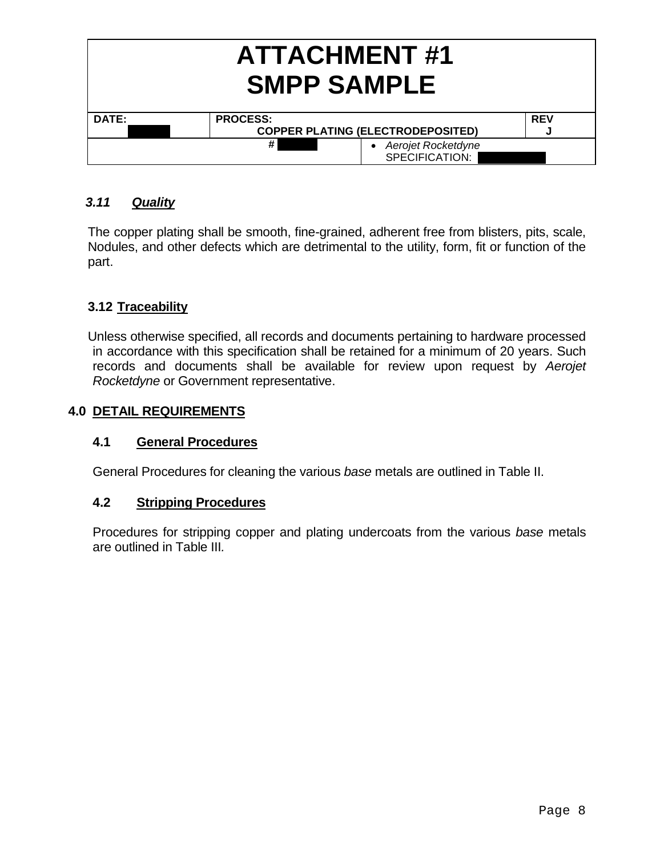|       | <b>ATTACHMENT#1</b><br><b>SMPP SAMPLE</b>     |                                      |            |  |  |  |
|-------|-----------------------------------------------|--------------------------------------|------------|--|--|--|
| DATE: | <b>PROCESS:</b>                               |                                      | <b>REV</b> |  |  |  |
|       | <b>COPPER PLATING (ELECTRODEPOSITED)</b><br>N |                                      |            |  |  |  |
|       | #                                             | Aerojet Rocketdyne<br>SPECIFICATION: |            |  |  |  |

# *3.11 Quality*

The copper plating shall be smooth, fine-grained, adherent free from blisters, pits, scale, Nodules, and other defects which are detrimental to the utility, form, fit or function of the part.

# **3.12 Traceability**

Unless otherwise specified, all records and documents pertaining to hardware processed in accordance with this specification shall be retained for a minimum of 20 years. Such records and documents shall be available for review upon request by *Aerojet Rocketdyne* or Government representative.

# **4.0 DETAIL REQUIREMENTS**

# **4.1 General Procedures**

General Procedures for cleaning the various *base* metals are outlined in Table II.

# **4.2 Stripping Procedures**

 Procedures for stripping copper and plating undercoats from the various *base* metals are outlined in Table III*.*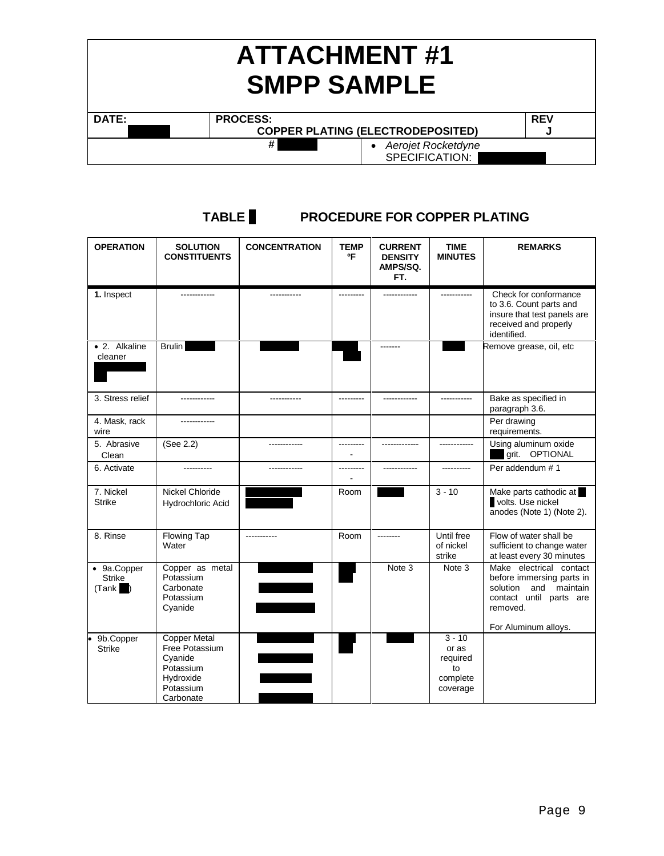| <b>ATTACHMENT#1</b><br><b>SMPP SAMPLE</b> |                                          |  |  |  |  |
|-------------------------------------------|------------------------------------------|--|--|--|--|
| DATE:                                     | <b>PROCESS:</b><br><b>REV</b>            |  |  |  |  |
|                                           | <b>COPPER PLATING (ELECTRODEPOSITED)</b> |  |  |  |  |
|                                           | #<br>Aerojet Rocketdyne                  |  |  |  |  |
| SPECIFICATION:                            |                                          |  |  |  |  |

# **TABLE II****PROCEDURE FOR COPPER PLATING**

| <b>OPERATION</b>                                                            | <b>SOLUTION</b><br><b>CONSTITUENTS</b>                                                               | <b>CONCENTRATION</b> | <b>TEMP</b><br>٥F | <b>CURRENT</b><br><b>DENSITY</b><br>AMPS/SQ.<br>FT. | <b>TIME</b><br><b>MINUTES</b>                               | <b>REMARKS</b>                                                                                                                                  |
|-----------------------------------------------------------------------------|------------------------------------------------------------------------------------------------------|----------------------|-------------------|-----------------------------------------------------|-------------------------------------------------------------|-------------------------------------------------------------------------------------------------------------------------------------------------|
| 1. Inspect                                                                  |                                                                                                      |                      |                   |                                                     |                                                             | Check for conformance<br>to 3.6. Count parts and<br>insure that test panels are<br>received and properly<br>identified.                         |
| • 2. Alkaline<br>cleaner                                                    | <b>Brulin</b>                                                                                        |                      |                   | -------                                             |                                                             | Remove grease, oil, etc                                                                                                                         |
| 3. Stress relief                                                            |                                                                                                      |                      |                   | .                                                   |                                                             | Bake as specified in<br>paragraph 3.6.                                                                                                          |
| 4. Mask, rack<br>wire                                                       | -------------                                                                                        |                      |                   |                                                     |                                                             | Per drawing<br>requirements.                                                                                                                    |
| 5. Abrasive<br>Clean                                                        | (See 2.2)                                                                                            | ------------         | ---------         | -------------                                       | ------------                                                | Using aluminum oxide<br>grit. OPTIONAL                                                                                                          |
| 6. Activate                                                                 | ----------                                                                                           | ------------         | ---------         | ------------                                        | ----------                                                  | Per addendum # 1                                                                                                                                |
| 7. Nickel<br><b>Strike</b>                                                  | Nickel Chloride<br>Hydrochloric Acid                                                                 |                      | Room              |                                                     | $3 - 10$                                                    | Make parts cathodic at<br>volts. Use nickel<br>anodes (Note 1) (Note 2).                                                                        |
| 8. Rinse                                                                    | Flowing Tap<br>Water                                                                                 |                      | Room              | --------                                            | Until free<br>of nickel<br>strike                           | Flow of water shall be<br>sufficient to change water<br>at least every 30 minutes                                                               |
| $\overline{\bullet}$ 9a. Copper<br><b>Strike</b><br>(Tank<br>$\blacksquare$ | Copper as metal<br>Potassium<br>Carbonate<br>Potassium<br>Cyanide                                    |                      |                   | Note 3                                              | Note 3                                                      | Make electrical contact<br>before immersing parts in<br>solution and<br>maintain<br>contact until parts are<br>removed.<br>For Aluminum alloys. |
| 9b.Copper<br><b>Strike</b>                                                  | <b>Copper Metal</b><br>Free Potassium<br>Cyanide<br>Potassium<br>Hydroxide<br>Potassium<br>Carbonate |                      |                   |                                                     | $3 - 10$<br>or as<br>required<br>to<br>complete<br>coverage |                                                                                                                                                 |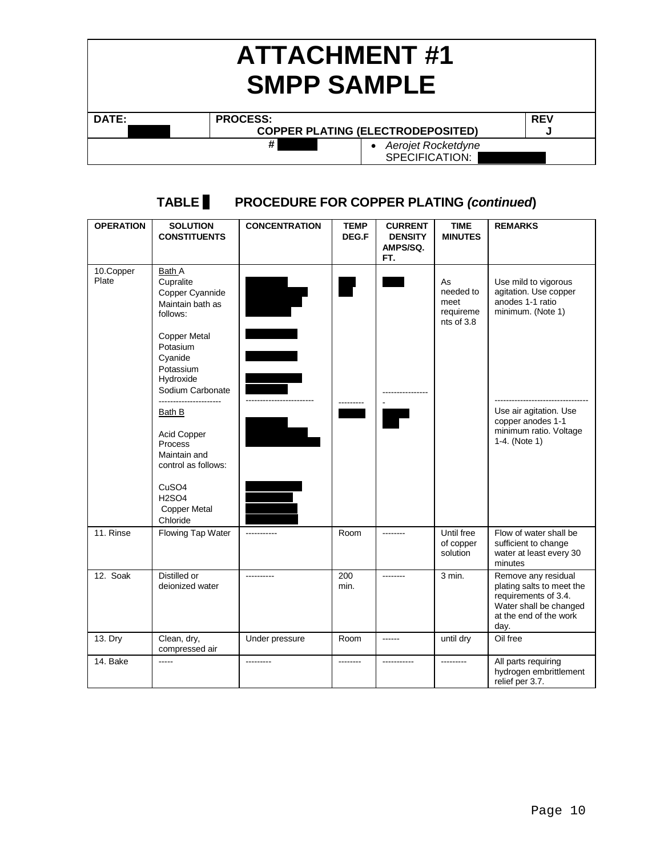| <b>ATTACHMENT#1</b><br><b>SMPP SAMPLE</b> |                                               |            |  |  |  |
|-------------------------------------------|-----------------------------------------------|------------|--|--|--|
| <b>DATE:</b>                              | <b>PROCESS:</b>                               | <b>REV</b> |  |  |  |
|                                           | <b>COPPER PLATING (ELECTRODEPOSITED)</b><br>м |            |  |  |  |
|                                           | #<br>Aerojet Rocketdyne<br>SPECIFICATION:     |            |  |  |  |

#### **TABLE II PROCEDURE FOR COPPER PLATING** *(continued***) OPERATION SOLUTION CONSTITUENTS CONCENTRATION TEMP DEG.F CURRENT DENSITY AMPS/SQ. FT. TIME MINUTES REMARKS**  10.Copper Plate Bath A **Cupralite** Copper Cyannide Maintain bath as follows: Copper Metal Potasium Cyanide Potassium Hydroxide Sodium Carbonate ---------------------- Bath B Acid Copper Process Maintain and control as follows: CuSO4 H2SO4 Copper Metal Chloride Make up in accordance with manufacturer's instructions. 3.0-4.0 oz/gal 1.0-2.0 oz/gal 2.0 - 4.5 oz/gal 15.0 oz/gal ------------------------ Make up in accordance with manufacturer's inst. 7.8-15.3 oz/gal 22-28 oz/gal 2.0-4.0 oz/gal 50 - 100 PPM 150 --------- 70 - 85 ---------------- - 20-200 ASF As needed to meet requireme nts of 3.8 Use mild to vigorous agitation. Use copper anodes 1-1 ratio minimum. (Note 1) --------------------------------- Use air agitation. Use copper anodes 1-1 minimum ratio. Voltage 1-4. (Note 1) 11. Rinse Flowing Tap Water | ----------- Room | -------- Until free of copper solution Flow of water shall be sufficient to change water at least every 30 minutes 12. Soak Distilled or deionized water ---------- 200 min. -------- 3 min. Remove any residual plating salts to meet the requirements of 3.4. Water shall be changed at the end of the work day. 13. Dry Clean, dry, compressed air Under pressure Room ------ until dry Oil free 14. Bake ----- --------- -------- ----------- --------- All parts requiring hydrogen embrittlement relief per 3.7.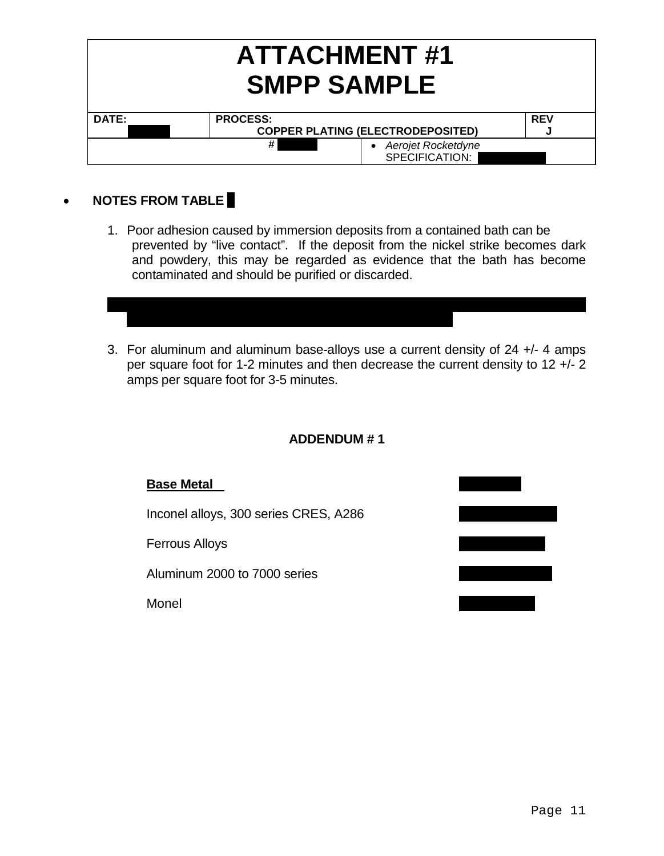| <b>ATTACHMENT#1</b><br><b>SMPP SAMPLE</b> |                                           |            |  |
|-------------------------------------------|-------------------------------------------|------------|--|
| DATE:                                     | <b>PROCESS:</b>                           | <b>REV</b> |  |
|                                           | <b>COPPER PLATING (ELECTRODEPOSITED)</b>  |            |  |
|                                           | #<br>Aerojet Rocketdyne<br>SPECIFICATION: |            |  |

# **NOTES FROM TABLE** *II*

1. Poor adhesion caused by immersion deposits from a contained bath can be prevented by "live contact". If the deposit from the nickel strike becomes dark and powdery, this may be regarded as evidence that the bath has become contaminated and should be purified or discarded.

2. For 300 and 400 Series CRES steels, Inconels, Monels, Hastelloys, Stellite 21,

and iron base alloys (A-286, 17-4PH and managing steel).

3. For aluminum and aluminum base-alloys use a current density of 24 +/- 4 amps per square foot for 1-2 minutes and then decrease the current density to 12 +/- 2 amps per square foot for 3-5 minutes.

# **ADDENDUM # 1**

# **Base Metal** Material Material Material Material Material Material Material Material Material Material Material Material Material Material Material Material Material Material Material Material Material Material Material Ma Inconel alloys, 300 series CRES, A286 Ferrous Alloys 108-01 Rev. 148-01 Rev. 148-01 Rev. 148-01 Rev. 148-01 Rev. 148-01 Rev. 148-01 Rev. 148-01 Rev. 148-01 Rev. 148-01 Rev. 148-01 Rev. 148-01 Rev. 148-01 Rev. 148-01 Rev. 148-01 Rev. 148-01 Rev. 148-01 Rev. 148 Aluminum 2000 to 7000 series Monel **106-01 Rev 6-01 Rev 6-01 Rev 6-01 Rev 6-01 Rev 6-01 Rev 6-01 Rev 6-01 Rev 6-01 Rev 6-01 Rev 6-01 Rev 6-01 Rev 6-01 Rev 6-01 Rev 6-01 Rev 6-01 Rev 6-01 Rev 6-01 Rev 6-01 Rev 6-01 Rev 6-01 Rev 6-01 Rev 6-01 Rev 6-01 R**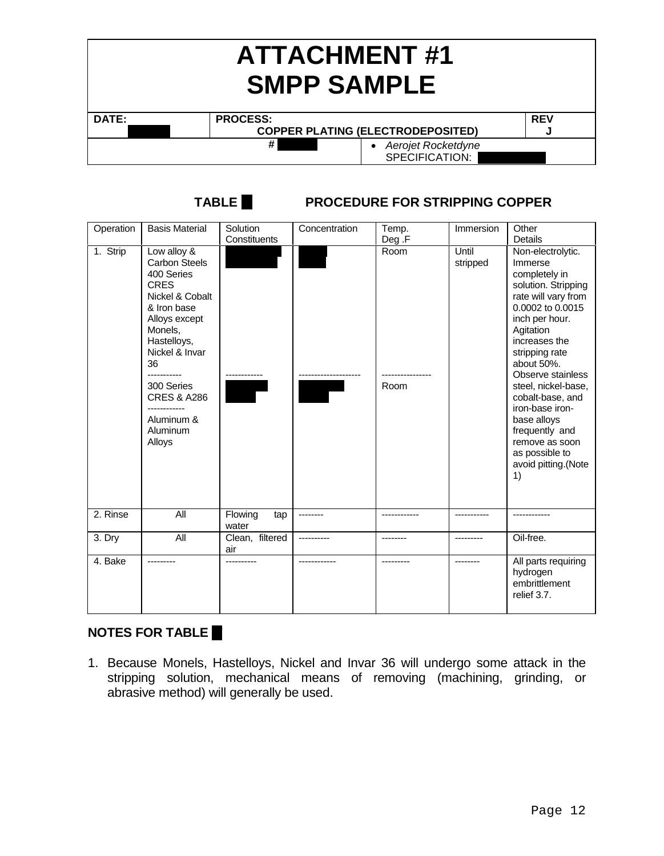| <b>ATTACHMENT#1</b><br><b>SMPP SAMPLE</b> |                                           |            |  |
|-------------------------------------------|-------------------------------------------|------------|--|
| DATE:                                     | <b>PROCESS:</b>                           | <b>REV</b> |  |
|                                           | <b>COPPER PLATING (ELECTRODEPOSITED)</b>  |            |  |
|                                           | #<br>Aerojet Rocketdyne<br>SPECIFICATION: |            |  |

| Operation | <b>Basis Material</b>                                                                                                                                                                                                                             | Solution                | Concentration | Temp.                  | Immersion         | Other                                                                                                                                                                                                                                                                                                                                                                                |
|-----------|---------------------------------------------------------------------------------------------------------------------------------------------------------------------------------------------------------------------------------------------------|-------------------------|---------------|------------------------|-------------------|--------------------------------------------------------------------------------------------------------------------------------------------------------------------------------------------------------------------------------------------------------------------------------------------------------------------------------------------------------------------------------------|
|           |                                                                                                                                                                                                                                                   | Constituents            |               |                        |                   | Details                                                                                                                                                                                                                                                                                                                                                                              |
| 1. Strip  | Low alloy &<br><b>Carbon Steels</b><br>400 Series<br><b>CRES</b><br>Nickel & Cobalt<br>& Iron base<br>Alloys except<br>Monels,<br>Hastelloys,<br>Nickel & Invar<br>36<br>300 Series<br><b>CRES &amp; A286</b><br>Aluminum &<br>Aluminum<br>Alloys |                         |               | Deg .F<br>Room<br>Room | Until<br>stripped | Non-electrolytic.<br>Immerse<br>completely in<br>solution. Stripping<br>rate will vary from<br>0.0002 to 0.0015<br>inch per hour.<br>Agitation<br>increases the<br>stripping rate<br>about 50%.<br>Observe stainless<br>steel, nickel-base,<br>cobalt-base, and<br>iron-base iron-<br>base alloys<br>frequently and<br>remove as soon<br>as possible to<br>avoid pitting.(Note<br>1) |
| 2. Rinse  | All                                                                                                                                                                                                                                               | Flowing<br>tap<br>water |               |                        |                   |                                                                                                                                                                                                                                                                                                                                                                                      |
| 3. Dry    | All                                                                                                                                                                                                                                               | Clean, filtered<br>air  |               |                        |                   | Oil-free.                                                                                                                                                                                                                                                                                                                                                                            |
| 4. Bake   | ---------                                                                                                                                                                                                                                         |                         |               | ---------              | --------          | All parts requiring<br>hydrogen<br>embrittlement<br>relief 3.7.                                                                                                                                                                                                                                                                                                                      |

# **TABLE III PROCEDURE FOR STRIPPING COPPER**

# **NOTES FOR TABLE**

1. Because Monels, Hastelloys, Nickel and Invar 36 will undergo some attack in the stripping solution, mechanical means of removing (machining, grinding, or abrasive method) will generally be used.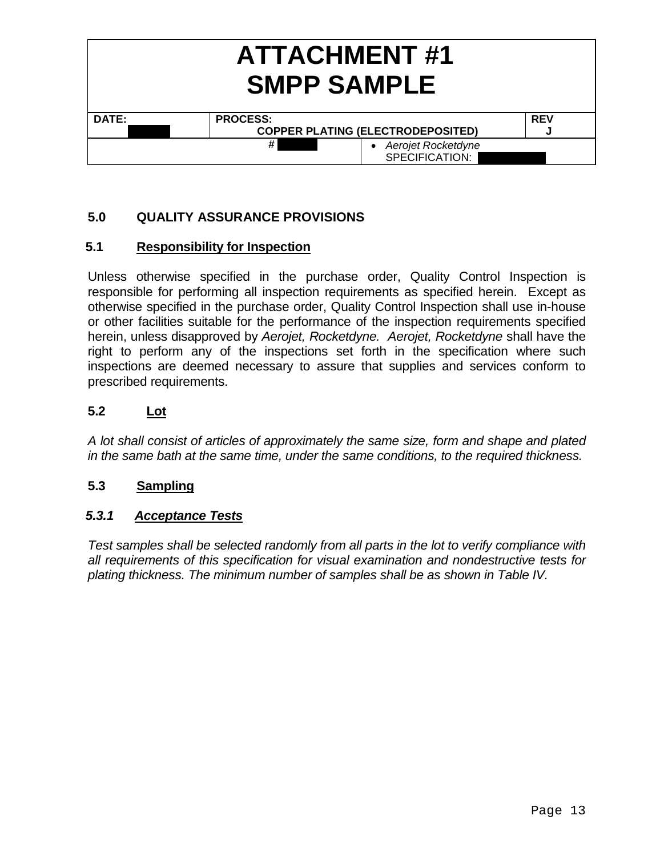|       | <b>ATTACHMENT#1</b><br><b>SMPP SAMPLE</b> |                                             |            |  |
|-------|-------------------------------------------|---------------------------------------------|------------|--|
| DATE: |                                           | <b>PROCESS:</b>                             | <b>REV</b> |  |
|       |                                           | <b>COPPER PLATING (ELECTRODEPOSITED)</b>    |            |  |
|       |                                           | #<br>• Aerojet Rocketdyne<br>SPECIFICATION: |            |  |

# **5.0 QUALITY ASSURANCE PROVISIONS**

# **5.1 Responsibility for Inspection**

Unless otherwise specified in the purchase order, Quality Control Inspection is responsible for performing all inspection requirements as specified herein. Except as otherwise specified in the purchase order, Quality Control Inspection shall use in-house or other facilities suitable for the performance of the inspection requirements specified herein, unless disapproved by *Aerojet, Rocketdyne. Aerojet, Rocketdyne* shall have the right to perform any of the inspections set forth in the specification where such inspections are deemed necessary to assure that supplies and services conform to prescribed requirements.

# **5.2 Lot**

*A lot shall consist of articles of approximately the same size, form and shape and plated in the same bath at the same time, under the same conditions, to the required thickness.* 

# **5.3 Sampling**

# *5.3.1 Acceptance Tests*

*Test samples shall be selected randomly from all parts in the lot to verify compliance with all requirements of this specification for visual examination and nondestructive tests for plating thickness. The minimum number of samples shall be as shown in Table IV.*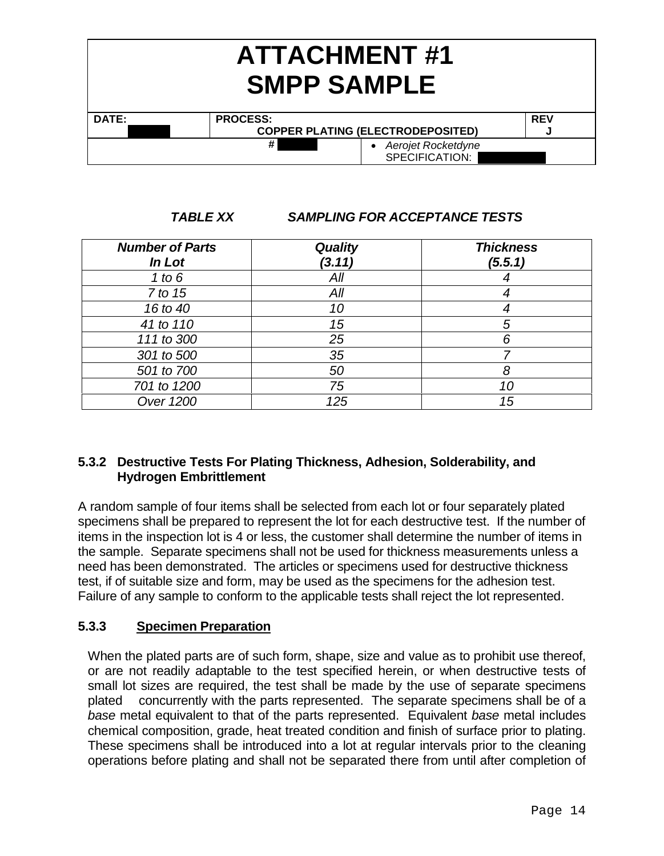| <b>ATTACHMENT#1</b><br><b>SMPP SAMPLE</b> |                                             |            |  |
|-------------------------------------------|---------------------------------------------|------------|--|
| DATE:                                     | <b>PROCESS:</b>                             | <b>REV</b> |  |
|                                           | <b>COPPER PLATING (ELECTRODEPOSITED)</b>    | w          |  |
|                                           | #<br>• Aerojet Rocketdyne<br>SPECIFICATION: |            |  |

*TABLE XX SAMPLING FOR ACCEPTANCE TESTS*

| <b>Number of Parts</b><br>In Lot | <b>Quality</b><br>(3.11) | <b>Thickness</b><br>(5.5.1) |
|----------------------------------|--------------------------|-----------------------------|
| 1 to $6$                         | All                      |                             |
| 7 to 15                          | All                      |                             |
| 16 to 40                         | 10                       |                             |
| 41 to 110                        | 15                       | 5                           |
| 111 to 300                       | 25                       | 6                           |
| 301 to 500                       | 35                       |                             |
| 501 to 700                       | 50                       | 8                           |
| 701 to 1200                      | 75                       | 10                          |
| Over 1200                        | 125                      | 15                          |

# **5.3.2 Destructive Tests For Plating Thickness, Adhesion, Solderability, and Hydrogen Embrittlement**

A random sample of four items shall be selected from each lot or four separately plated specimens shall be prepared to represent the lot for each destructive test. If the number of items in the inspection lot is 4 or less, the customer shall determine the number of items in the sample. Separate specimens shall not be used for thickness measurements unless a need has been demonstrated. The articles or specimens used for destructive thickness test, if of suitable size and form, may be used as the specimens for the adhesion test. Failure of any sample to conform to the applicable tests shall reject the lot represented.

# **5.3.3 Specimen Preparation**

When the plated parts are of such form, shape, size and value as to prohibit use thereof, or are not readily adaptable to the test specified herein, or when destructive tests of small lot sizes are required, the test shall be made by the use of separate specimens plated concurrently with the parts represented. The separate specimens shall be of a *base* metal equivalent to that of the parts represented. Equivalent *base* metal includes chemical composition, grade, heat treated condition and finish of surface prior to plating. These specimens shall be introduced into a lot at regular intervals prior to the cleaning operations before plating and shall not be separated there from until after completion of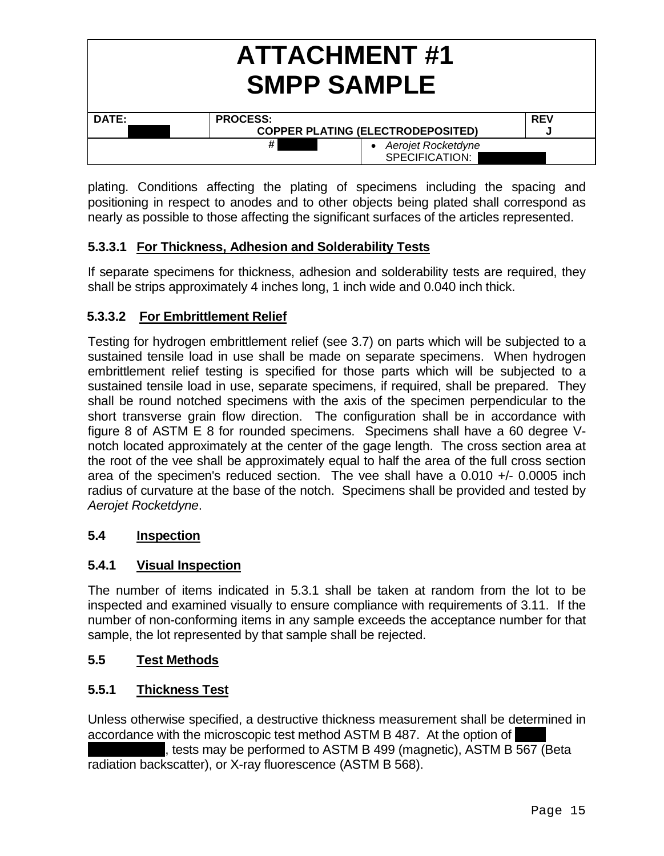| <b>ATTACHMENT#1</b><br><b>SMPP SAMPLE</b> |                                             |            |  |
|-------------------------------------------|---------------------------------------------|------------|--|
| DATE:                                     | <b>PROCESS:</b>                             | <b>REV</b> |  |
|                                           | <b>COPPER PLATING (ELECTRODEPOSITED)</b>    |            |  |
|                                           | #<br>• Aerojet Rocketdyne<br>SPECIFICATION: |            |  |

plating. Conditions affecting the plating of specimens including the spacing and positioning in respect to anodes and to other objects being plated shall correspond as nearly as possible to those affecting the significant surfaces of the articles represented.

# **5.3.3.1 For Thickness, Adhesion and Solderability Tests**

If separate specimens for thickness, adhesion and solderability tests are required, they shall be strips approximately 4 inches long, 1 inch wide and 0.040 inch thick.

# **5.3.3.2 For Embrittlement Relief**

Testing for hydrogen embrittlement relief (see 3.7) on parts which will be subjected to a sustained tensile load in use shall be made on separate specimens. When hydrogen embrittlement relief testing is specified for those parts which will be subjected to a sustained tensile load in use, separate specimens, if required, shall be prepared. They shall be round notched specimens with the axis of the specimen perpendicular to the short transverse grain flow direction. The configuration shall be in accordance with figure 8 of ASTM E 8 for rounded specimens. Specimens shall have a 60 degree Vnotch located approximately at the center of the gage length. The cross section area at the root of the vee shall be approximately equal to half the area of the full cross section area of the specimen's reduced section. The vee shall have a 0.010 +/- 0.0005 inch radius of curvature at the base of the notch. Specimens shall be provided and tested by *Aerojet Rocketdyne*.

# **5.4 Inspection**

# **5.4.1 Visual Inspection**

The number of items indicated in 5.3.1 shall be taken at random from the lot to be inspected and examined visually to ensure compliance with requirements of 3.11. If the number of non-conforming items in any sample exceeds the acceptance number for that sample, the lot represented by that sample shall be rejected.

# **5.5 Test Methods**

# **5.5.1 Thickness Test**

Unless otherwise specified, a destructive thickness measurement shall be determined in accordance with the microscopic test method ASTM B 487. At the option of

tests may be performed to ASTM B 499 (magnetic), ASTM B 567 (Beta radiation backscatter), or X-ray fluorescence (ASTM B 568).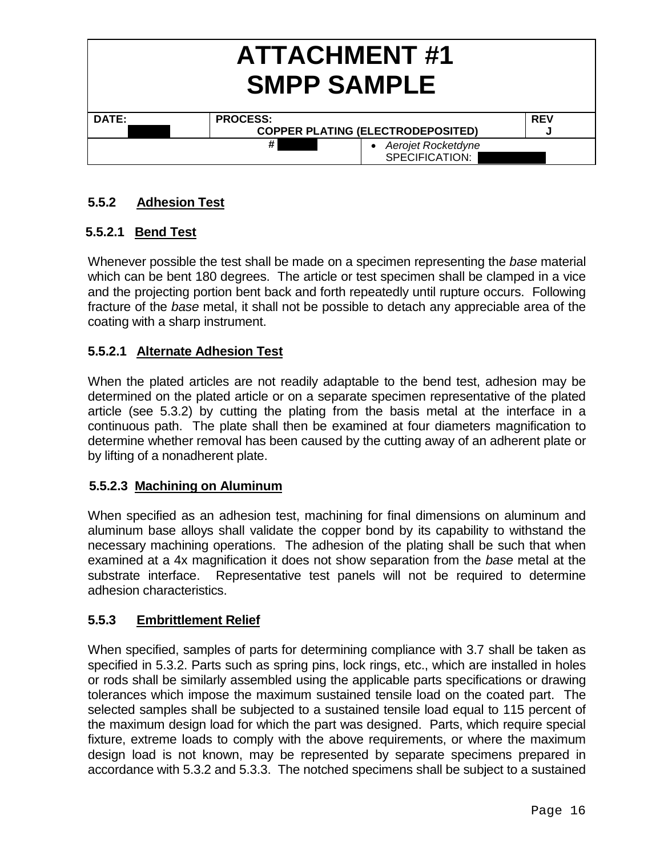|       | <b>ATTACHMENT#1</b><br><b>SMPP SAMPLE</b>   |            |  |  |
|-------|---------------------------------------------|------------|--|--|
| DATE: | <b>PROCESS:</b>                             | <b>REV</b> |  |  |
|       | <b>COPPER PLATING (ELECTRODEPOSITED)</b>    |            |  |  |
|       | #<br>• Aerojet Rocketdyne<br>SPECIFICATION: |            |  |  |

# **5.5.2 Adhesion Test**

# **5.5.2.1 Bend Test**

Whenever possible the test shall be made on a specimen representing the *base* material which can be bent 180 degrees. The article or test specimen shall be clamped in a vice and the projecting portion bent back and forth repeatedly until rupture occurs. Following fracture of the *base* metal, it shall not be possible to detach any appreciable area of the coating with a sharp instrument.

# **5.5.2.1 Alternate Adhesion Test**

When the plated articles are not readily adaptable to the bend test, adhesion may be determined on the plated article or on a separate specimen representative of the plated article (see 5.3.2) by cutting the plating from the basis metal at the interface in a continuous path. The plate shall then be examined at four diameters magnification to determine whether removal has been caused by the cutting away of an adherent plate or by lifting of a nonadherent plate.

# **5.5.2.3 Machining on Aluminum**

When specified as an adhesion test, machining for final dimensions on aluminum and aluminum base alloys shall validate the copper bond by its capability to withstand the necessary machining operations. The adhesion of the plating shall be such that when examined at a 4x magnification it does not show separation from the *base* metal at the substrate interface. Representative test panels will not be required to determine adhesion characteristics.

# **5.5.3 Embrittlement Relief**

When specified, samples of parts for determining compliance with 3.7 shall be taken as specified in 5.3.2. Parts such as spring pins, lock rings, etc., which are installed in holes or rods shall be similarly assembled using the applicable parts specifications or drawing tolerances which impose the maximum sustained tensile load on the coated part. The selected samples shall be subjected to a sustained tensile load equal to 115 percent of the maximum design load for which the part was designed. Parts, which require special fixture, extreme loads to comply with the above requirements, or where the maximum design load is not known, may be represented by separate specimens prepared in accordance with 5.3.2 and 5.3.3. The notched specimens shall be subject to a sustained